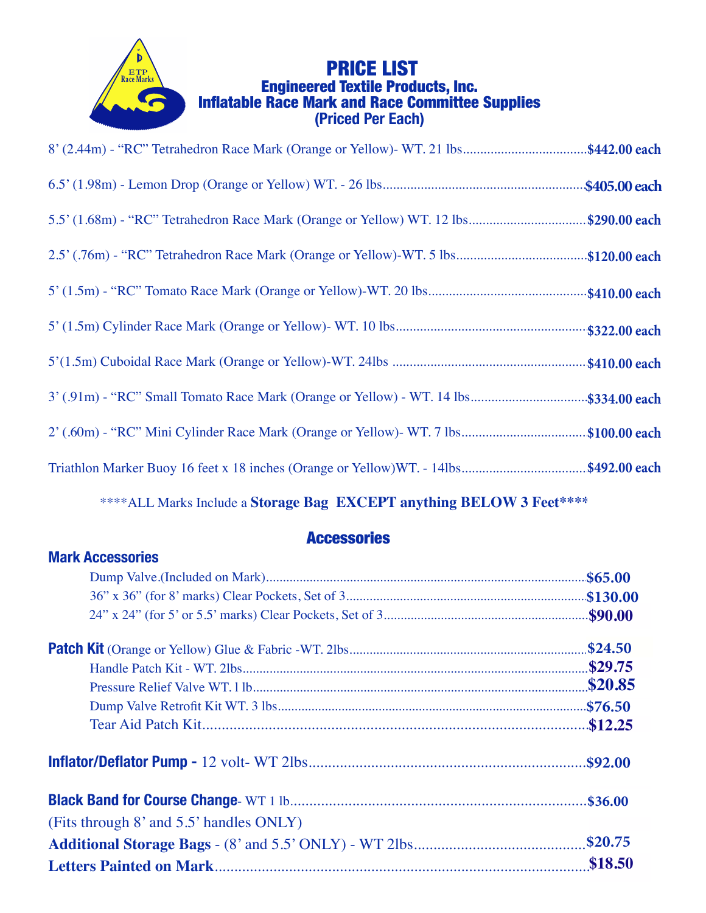

# **PRICE LIST<br>Engineered Textile Products, Inc.<br>Inflatable Race Mark and Race Committee Supplies**<br>(Priced Per Each)

| 8' (2.44m) - "RC" Tetrahedron Race Mark (Orange or Yellow)- WT. 21 lbs\$442.00 each  |  |
|--------------------------------------------------------------------------------------|--|
|                                                                                      |  |
| 5.5' (1.68m) - "RC" Tetrahedron Race Mark (Orange or Yellow) WT. 12 lbs\$290.00 each |  |
| 2.5' (.76m) - "RC" Tetrahedron Race Mark (Orange or Yellow)-WT. 5 lbs\$120.00 each   |  |
|                                                                                      |  |
|                                                                                      |  |
|                                                                                      |  |
| 3' (.91m) - "RC" Small Tomato Race Mark (Orange or Yellow) - WT. 14 lbs\$334.00 each |  |
| 2' (.60m) - "RC" Mini Cylinder Race Mark (Orange or Yellow)- WT. 7 lbs\$100.00 each  |  |
| Triathlon Marker Buoy 16 feet x 18 inches (Orange or Yellow)WT. - 14lbs\$492.00 each |  |

\*\*\*\* ALL Marks Include a Storage Bag EXCEPT anything BELOW 3 Feet\*\*\*\*

#### **Accessories**

#### **Mark Accessories**

|                                         | \$24.50 |  |
|-----------------------------------------|---------|--|
|                                         |         |  |
|                                         |         |  |
|                                         |         |  |
|                                         |         |  |
|                                         |         |  |
|                                         |         |  |
| (Fits through 8' and 5.5' handles ONLY) |         |  |
|                                         |         |  |
|                                         | \$18.50 |  |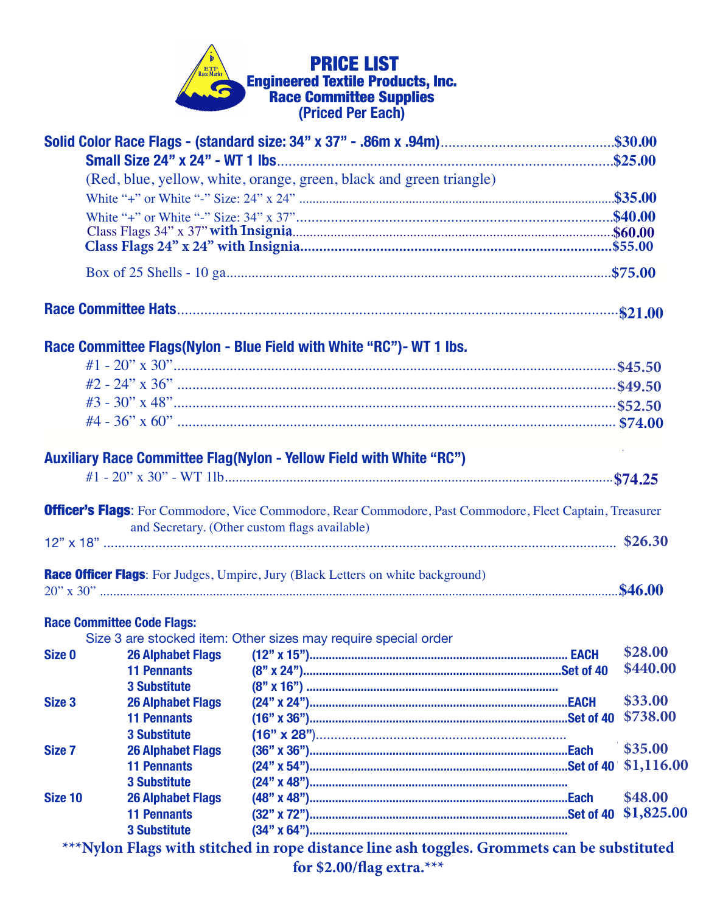## **PRICE LIST<br>Engineered Textile Products, Inc.<br>Race Committee Supplies<br>(Priced Per Each)** G

|                   |                                   | (Red, blue, yellow, white, orange, green, black and green triangle)                                             |            |
|-------------------|-----------------------------------|-----------------------------------------------------------------------------------------------------------------|------------|
|                   |                                   |                                                                                                                 |            |
|                   |                                   |                                                                                                                 |            |
|                   |                                   |                                                                                                                 |            |
|                   |                                   |                                                                                                                 |            |
|                   |                                   |                                                                                                                 |            |
|                   |                                   |                                                                                                                 |            |
|                   |                                   | Race Committee Flags (Nylon - Blue Field with White "RC") - WT 1 lbs.                                           |            |
|                   |                                   |                                                                                                                 |            |
|                   |                                   |                                                                                                                 |            |
|                   |                                   |                                                                                                                 |            |
|                   |                                   |                                                                                                                 |            |
|                   |                                   |                                                                                                                 |            |
|                   |                                   | <b>Auxiliary Race Committee Flag(Nylon - Yellow Field with White "RC")</b>                                      |            |
|                   |                                   |                                                                                                                 |            |
|                   |                                   |                                                                                                                 |            |
|                   |                                   | <b>Officer's Flags:</b> For Commodore, Vice Commodore, Rear Commodore, Past Commodore, Fleet Captain, Treasurer |            |
|                   |                                   | and Secretary. (Other custom flags available)                                                                   |            |
|                   |                                   |                                                                                                                 |            |
|                   |                                   |                                                                                                                 |            |
|                   |                                   | <b>Race Officer Flags:</b> For Judges, Umpire, Jury (Black Letters on white background)                         |            |
|                   |                                   |                                                                                                                 |            |
|                   |                                   |                                                                                                                 |            |
|                   | <b>Race Committee Code Flags:</b> | Size 3 are stocked item: Other sizes may require special order                                                  |            |
| Size 0            | <b>26 Alphabet Flags</b>          |                                                                                                                 | \$28.00    |
|                   | <b>11 Pennants</b>                |                                                                                                                 | \$440.00   |
|                   | <b>3 Substitute</b>               |                                                                                                                 |            |
| Size <sub>3</sub> | <b>26 Alphabet Flags</b>          |                                                                                                                 | \$33.00    |
|                   | <b>11 Pennants</b>                |                                                                                                                 | \$738.00   |
|                   | <b>3 Substitute</b>               |                                                                                                                 |            |
| Size 7            | <b>26 Alphabet Flags</b>          |                                                                                                                 | \$35.00    |
|                   | <b>11 Pennants</b>                |                                                                                                                 | \$1,116.00 |
|                   | <b>3 Substitute</b>               |                                                                                                                 |            |
| Size 10           | <b>26 Alphabet Flags</b>          |                                                                                                                 | \$48.00    |
|                   | <b>11 Pennants</b>                |                                                                                                                 |            |
|                   | <b>3 Substitute</b>               |                                                                                                                 |            |
|                   |                                   | ***Nylon Flags with stitched in rope distance line ash toggles. Grommets can be substituted                     |            |
|                   |                                   | for \$2.00/flag extra. $***$                                                                                    |            |